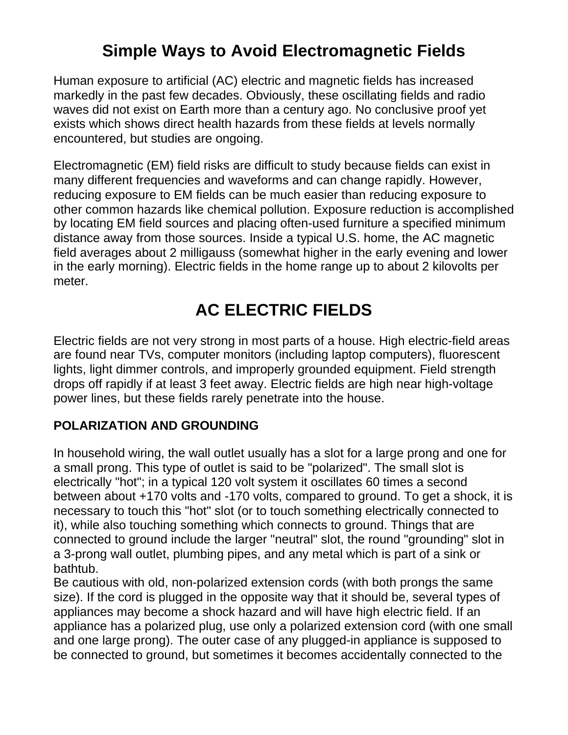# **Simple Ways to Avoid Electromagnetic Fields**

Human exposure to artificial (AC) electric and magnetic fields has increased markedly in the past few decades. Obviously, these oscillating fields and radio waves did not exist on Earth more than a century ago. No conclusive proof yet exists which shows direct health hazards from these fields at levels normally encountered, but studies are ongoing.

Electromagnetic (EM) field risks are difficult to study because fields can exist in many different frequencies and waveforms and can change rapidly. However, reducing exposure to EM fields can be much easier than reducing exposure to other common hazards like chemical pollution. Exposure reduction is accomplished by locating EM field sources and placing often-used furniture a specified minimum distance away from those sources. Inside a typical U.S. home, the AC magnetic field averages about 2 milligauss (somewhat higher in the early evening and lower in the early morning). Electric fields in the home range up to about 2 kilovolts per meter.

# **AC ELECTRIC FIELDS**

Electric fields are not very strong in most parts of a house. High electric-field areas are found near TVs, computer monitors (including laptop computers), fluorescent lights, light dimmer controls, and improperly grounded equipment. Field strength drops off rapidly if at least 3 feet away. Electric fields are high near high-voltage power lines, but these fields rarely penetrate into the house.

### **POLARIZATION AND GROUNDING**

In household wiring, the wall outlet usually has a slot for a large prong and one for a small prong. This type of outlet is said to be "polarized". The small slot is electrically "hot"; in a typical 120 volt system it oscillates 60 times a second between about +170 volts and -170 volts, compared to ground. To get a shock, it is necessary to touch this "hot" slot (or to touch something electrically connected to it), while also touching something which connects to ground. Things that are connected to ground include the larger "neutral" slot, the round "grounding" slot in a 3-prong wall outlet, plumbing pipes, and any metal which is part of a sink or bathtub.

Be cautious with old, non-polarized extension cords (with both prongs the same size). If the cord is plugged in the opposite way that it should be, several types of appliances may become a shock hazard and will have high electric field. If an appliance has a polarized plug, use only a polarized extension cord (with one small and one large prong). The outer case of any plugged-in appliance is supposed to be connected to ground, but sometimes it becomes accidentally connected to the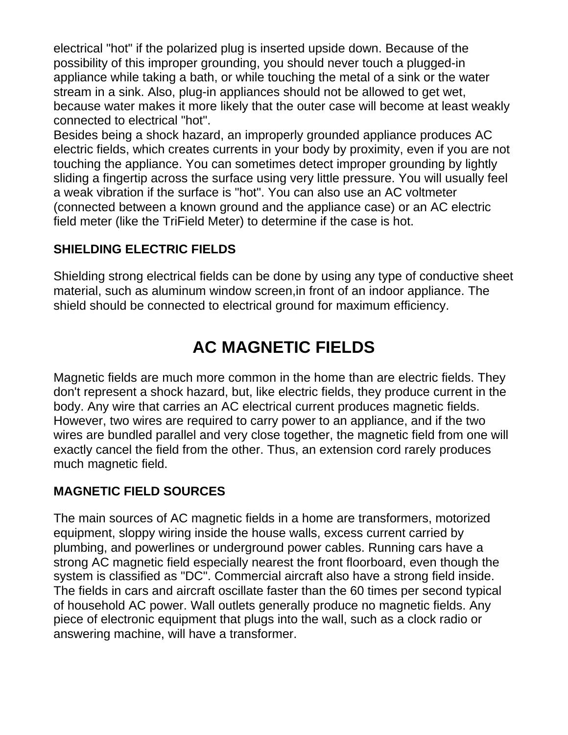electrical "hot" if the polarized plug is inserted upside down. Because of the possibility of this improper grounding, you should never touch a plugged-in appliance while taking a bath, or while touching the metal of a sink or the water stream in a sink. Also, plug-in appliances should not be allowed to get wet, because water makes it more likely that the outer case will become at least weakly connected to electrical "hot".

Besides being a shock hazard, an improperly grounded appliance produces AC electric fields, which creates currents in your body by proximity, even if you are not touching the appliance. You can sometimes detect improper grounding by lightly sliding a fingertip across the surface using very little pressure. You will usually feel a weak vibration if the surface is "hot". You can also use an AC voltmeter (connected between a known ground and the appliance case) or an AC electric field meter (like the TriField Meter) to determine if the case is hot.

### **SHIELDING ELECTRIC FIELDS**

Shielding strong electrical fields can be done by using any type of conductive sheet material, such as aluminum window screen,in front of an indoor appliance. The shield should be connected to electrical ground for maximum efficiency.

# **AC MAGNETIC FIELDS**

Magnetic fields are much more common in the home than are electric fields. They don't represent a shock hazard, but, like electric fields, they produce current in the body. Any wire that carries an AC electrical current produces magnetic fields. However, two wires are required to carry power to an appliance, and if the two wires are bundled parallel and very close together, the magnetic field from one will exactly cancel the field from the other. Thus, an extension cord rarely produces much magnetic field.

### **MAGNETIC FIELD SOURCES**

The main sources of AC magnetic fields in a home are transformers, motorized equipment, sloppy wiring inside the house walls, excess current carried by plumbing, and powerlines or underground power cables. Running cars have a strong AC magnetic field especially nearest the front floorboard, even though the system is classified as "DC". Commercial aircraft also have a strong field inside. The fields in cars and aircraft oscillate faster than the 60 times per second typical of household AC power. Wall outlets generally produce no magnetic fields. Any piece of electronic equipment that plugs into the wall, such as a clock radio or answering machine, will have a transformer.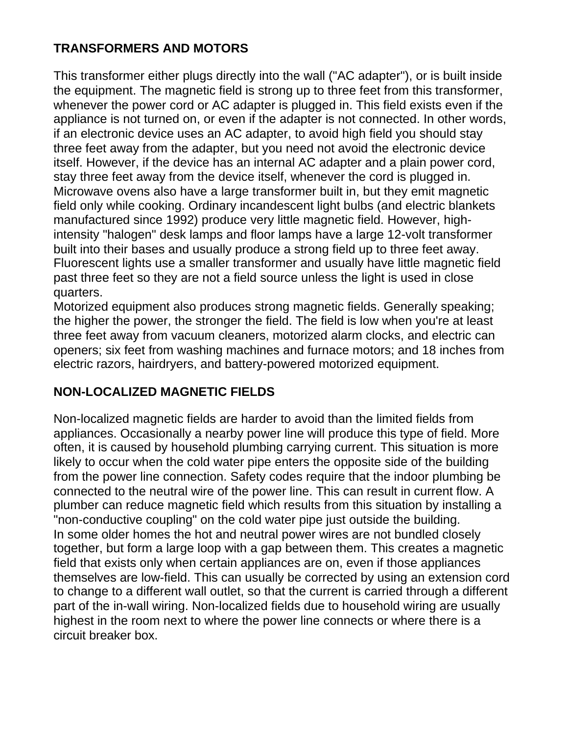#### **TRANSFORMERS AND MOTORS**

This transformer either plugs directly into the wall ("AC adapter"), or is built inside the equipment. The magnetic field is strong up to three feet from this transformer, whenever the power cord or AC adapter is plugged in. This field exists even if the appliance is not turned on, or even if the adapter is not connected. In other words, if an electronic device uses an AC adapter, to avoid high field you should stay three feet away from the adapter, but you need not avoid the electronic device itself. However, if the device has an internal AC adapter and a plain power cord, stay three feet away from the device itself, whenever the cord is plugged in. Microwave ovens also have a large transformer built in, but they emit magnetic field only while cooking. Ordinary incandescent light bulbs (and electric blankets manufactured since 1992) produce very little magnetic field. However, highintensity "halogen" desk lamps and floor lamps have a large 12-volt transformer built into their bases and usually produce a strong field up to three feet away. Fluorescent lights use a smaller transformer and usually have little magnetic field past three feet so they are not a field source unless the light is used in close quarters.

Motorized equipment also produces strong magnetic fields. Generally speaking; the higher the power, the stronger the field. The field is low when you're at least three feet away from vacuum cleaners, motorized alarm clocks, and electric can openers; six feet from washing machines and furnace motors; and 18 inches from electric razors, hairdryers, and battery-powered motorized equipment.

#### **NON-LOCALIZED MAGNETIC FIELDS**

Non-localized magnetic fields are harder to avoid than the limited fields from appliances. Occasionally a nearby power line will produce this type of field. More often, it is caused by household plumbing carrying current. This situation is more likely to occur when the cold water pipe enters the opposite side of the building from the power line connection. Safety codes require that the indoor plumbing be connected to the neutral wire of the power line. This can result in current flow. A plumber can reduce magnetic field which results from this situation by installing a "non-conductive coupling" on the cold water pipe just outside the building. In some older homes the hot and neutral power wires are not bundled closely together, but form a large loop with a gap between them. This creates a magnetic field that exists only when certain appliances are on, even if those appliances themselves are low-field. This can usually be corrected by using an extension cord to change to a different wall outlet, so that the current is carried through a different part of the in-wall wiring. Non-localized fields due to household wiring are usually highest in the room next to where the power line connects or where there is a circuit breaker box.